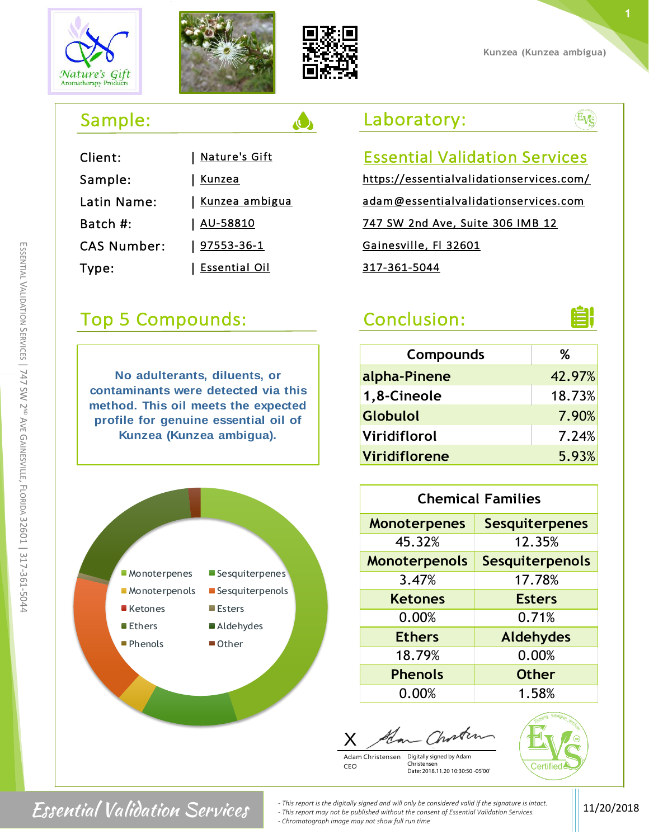m SSENTIAL  $\,<$ 

ALIDATION

Un ERVICES

| 747

SW 2<sup>ND</sup> AVE G

AINESVILLE

, FLORIDA

32601 |

317-361-5044





| Client:            | <b>Nature's Gift</b>    |
|--------------------|-------------------------|
| Sample:            | <b>Kunzea</b>           |
| Latin Name:        | <u>  Kunzea ambigua</u> |
| Batch #:           | <u>  AU-58810</u>       |
| <b>CAS Number:</b> | <u>  97553-36-1</u>     |
| Type:              | Essential Oil           |

# Top 5 Compounds: Conclusion:

**No adulterants, diluents, or contaminants were detected via this method. This oil meets the expected profile for genuine essential oil of Kunzea (Kunzea ambigua).**



## Laboratory:

### Essential Validation Services https://essentialvalidationservices.com/

adam@essentialvalidationservices.com 747 SW 2nd Ave, Suite 306 IMB 12 Gainesville, Fl 32601 317-361-5044



Evg

| <b>Compounds</b> | ℅      |
|------------------|--------|
| alpha-Pinene     | 42.97% |
| 1,8-Cineole      | 18.73% |
| Globulol         | 7.90%  |
| Viridiflorol     | 7.24%  |
| Viridiflorene    | 5.93%  |

| <b>Chemical Families</b> |                        |  |  |  |
|--------------------------|------------------------|--|--|--|
| <b>Monoterpenes</b>      | <b>Sesquiterpenes</b>  |  |  |  |
| 45.32%                   | 12.35%                 |  |  |  |
| <b>Monoterpenols</b>     | <b>Sesquiterpenols</b> |  |  |  |
| 3.47%                    | 17.78%                 |  |  |  |
| <b>Ketones</b>           | <b>Esters</b>          |  |  |  |
| 0.00%                    | 0.71%                  |  |  |  |
| <b>Ethers</b>            | <b>Aldehydes</b>       |  |  |  |
| 18.79%                   | 0.00%                  |  |  |  |
| <b>Phenols</b>           | <b>Other</b>           |  |  |  |
| 0.00%                    | 1.58%                  |  |  |  |

X Adam Christensen Digitally signed by Adam

Christensen

Date: 2018.11.20 10:30:50 -05'00'

Certified



**Essential Validation Services** *a <i>This report is the digitally signed and will only be considered valid if the signature is intact.* **[11/20/2018 <b>***LESSENTIAL Validation Services. - This report may not be published without the consent of Essential Validation Services. - Chromatograph image may not show full run time*

CEO

**Kunzea (Kunzea ambigua)**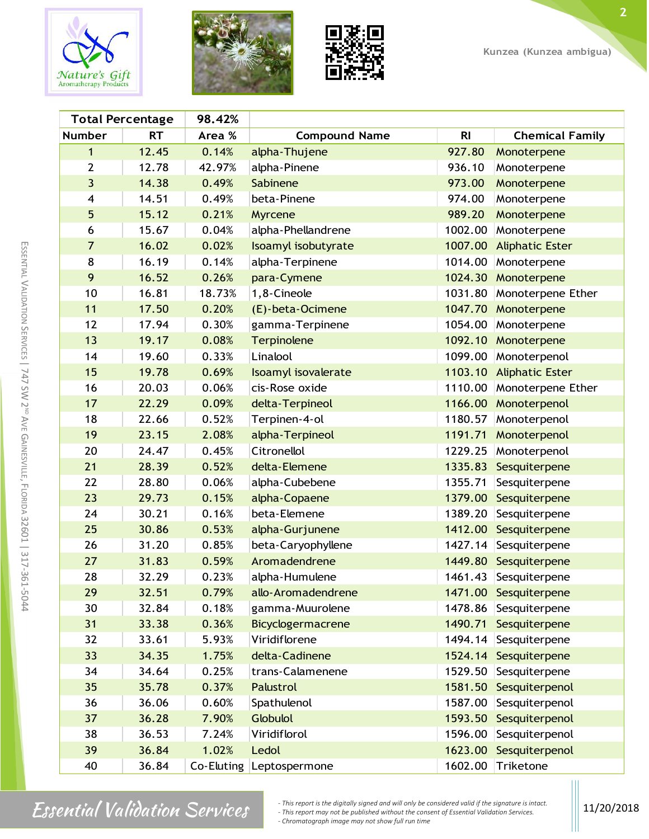





| <b>Total Percentage</b><br>98.42% |           |        |                          |                |                        |
|-----------------------------------|-----------|--------|--------------------------|----------------|------------------------|
| <b>Number</b>                     | <b>RT</b> | Area % | <b>Compound Name</b>     | R <sub>l</sub> | <b>Chemical Family</b> |
| 1                                 | 12.45     | 0.14%  | alpha-Thujene            | 927.80         | Monoterpene            |
| $\mathbf{2}$                      | 12.78     | 42.97% | alpha-Pinene             | 936.10         | Monoterpene            |
| $\overline{3}$                    | 14.38     | 0.49%  | Sabinene                 | 973.00         | Monoterpene            |
| 4                                 | 14.51     | 0.49%  | beta-Pinene              | 974.00         | Monoterpene            |
| 5                                 | 15.12     | 0.21%  | Myrcene                  | 989.20         | Monoterpene            |
| 6                                 | 15.67     | 0.04%  | alpha-Phellandrene       | 1002.00        | Monoterpene            |
| $\overline{7}$                    | 16.02     | 0.02%  | Isoamyl isobutyrate      | 1007.00        | <b>Aliphatic Ester</b> |
| 8                                 | 16.19     | 0.14%  | alpha-Terpinene          | 1014.00        | Monoterpene            |
| 9                                 | 16.52     | 0.26%  | para-Cymene              |                | 1024.30 Monoterpene    |
| 10                                | 16.81     | 18.73% | 1,8-Cineole              | 1031.80        | Monoterpene Ether      |
| 11                                | 17.50     | 0.20%  | (E)-beta-Ocimene         |                | 1047.70 Monoterpene    |
| 12                                | 17.94     | 0.30%  | gamma-Terpinene          | 1054.00        | Monoterpene            |
| 13                                | 19.17     | 0.08%  | Terpinolene              |                | 1092.10 Monoterpene    |
| 14                                | 19.60     | 0.33%  | Linalool                 | 1099.00        | Monoterpenol           |
| 15                                | 19.78     | 0.69%  | Isoamyl isovalerate      | 1103.10        | <b>Aliphatic Ester</b> |
| 16                                | 20.03     | 0.06%  | cis-Rose oxide           | 1110.00        | Monoterpene Ether      |
| 17                                | 22.29     | 0.09%  | delta-Terpineol          | 1166.00        | Monoterpenol           |
| 18                                | 22.66     | 0.52%  | Terpinen-4-ol            | 1180.57        | Monoterpenol           |
| 19                                | 23.15     | 2.08%  | alpha-Terpineol          | 1191.71        | Monoterpenol           |
| 20                                | 24.47     | 0.45%  | Citronellol              | 1229.25        | Monoterpenol           |
| 21                                | 28.39     | 0.52%  | delta-Elemene            | 1335.83        | Sesquiterpene          |
| 22                                | 28.80     | 0.06%  | alpha-Cubebene           | 1355.71        | Sesquiterpene          |
| 23                                | 29.73     | 0.15%  | alpha-Copaene            | 1379.00        | Sesquiterpene          |
| 24                                | 30.21     | 0.16%  | beta-Elemene             | 1389.20        | Sesquiterpene          |
| 25                                | 30.86     | 0.53%  | alpha-Gurjunene          | 1412.00        | Sesquiterpene          |
| 26                                | 31.20     | 0.85%  | beta-Caryophyllene       | 1427.14        | Sesquiterpene          |
| 27                                | 31.83     | 0.59%  | Aromadendrene            | 1449.80        | Sesquiterpene          |
| 28                                | 32.29     | 0.23%  | alpha-Humulene           |                | 1461.43 Sesquiterpene  |
| 29                                | 32.51     | 0.79%  | allo-Aromadendrene       |                | 1471.00 Sesquiterpene  |
| 30                                | 32.84     | 0.18%  | gamma-Muurolene          | 1478.86        | Sesquiterpene          |
| 31                                | 33.38     | 0.36%  | Bicyclogermacrene        | 1490.71        | Sesquiterpene          |
| 32                                | 33.61     | 5.93%  | Viridiflorene            | 1494.14        | Sesquiterpene          |
| 33                                | 34.35     | 1.75%  | delta-Cadinene           |                | 1524.14 Sesquiterpene  |
| 34                                | 34.64     | 0.25%  | trans-Calamenene         | 1529.50        | Sesquiterpene          |
| 35                                | 35.78     | 0.37%  | Palustrol                | 1581.50        | Sesquiterpenol         |
| 36                                | 36.06     | 0.60%  | Spathulenol              | 1587.00        | Sesquiterpenol         |
| 37                                | 36.28     | 7.90%  | <b>Globulol</b>          | 1593.50        | Sesquiterpenol         |
| 38                                | 36.53     | 7.24%  | Viridiflorol             | 1596.00        | Sesquiterpenol         |
| 39                                | 36.84     | 1.02%  | Ledol                    | 1623.00        | Sesquiterpenol         |
| 40                                | 36.84     |        | Co-Eluting Leptospermone | 1602.00        | Triketone              |

m SSENTIAL  $\,<$ 

ALIDATION

n ERVICES

| 747

 $\textit{Essential Validation}$   $\textit{Valiation}$   $\textit{Services}$   $\textit{First report may not be published without the consent of Essential Validation Services.}$ <br>  $\textit{Stsential Validation Services.}$ <br>  $\textit{Storenial Validation Services.}$ <br>  $\textit{Storenial Validation Services.}$ <br>  $\textit{Stochlin}$ *- Chromatograph image may not show full run time*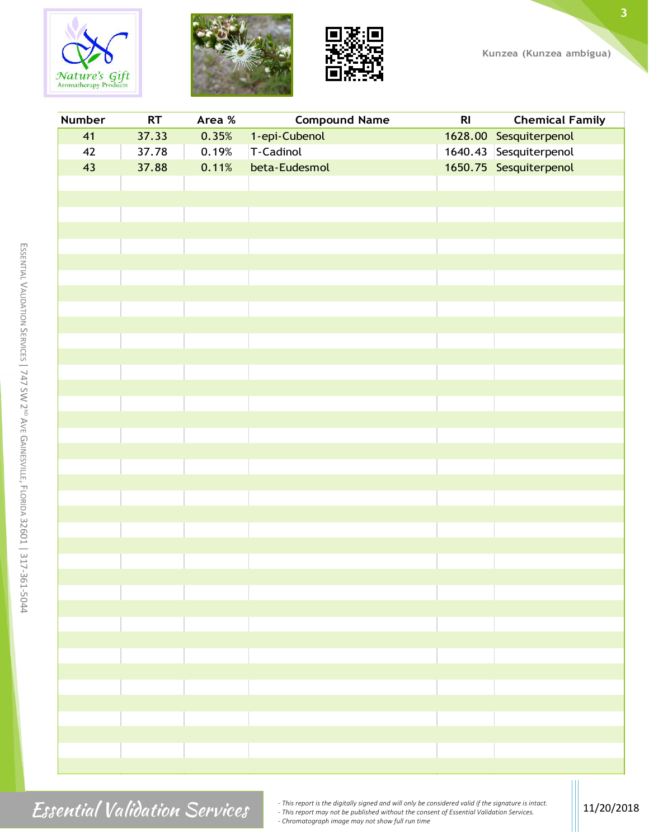





| <b>Number</b> | RT    | Area %                                                                                                               | <b>Compound Name</b> | R <sub>l</sub>                                                                                                                  | <b>Chemical Family</b> |
|---------------|-------|----------------------------------------------------------------------------------------------------------------------|----------------------|---------------------------------------------------------------------------------------------------------------------------------|------------------------|
| 41            | 37.33 | 0.35%                                                                                                                | 1-epi-Cubenol        |                                                                                                                                 | 1628.00 Sesquiterpenol |
| 42            | 37.78 | 0.19%                                                                                                                | T-Cadinol            |                                                                                                                                 | 1640.43 Sesquiterpenol |
| 43            | 37.88 | 0.11%                                                                                                                | beta-Eudesmol        |                                                                                                                                 | 1650.75 Sesquiterpenol |
|               |       |                                                                                                                      |                      |                                                                                                                                 |                        |
|               |       |                                                                                                                      |                      |                                                                                                                                 |                        |
|               |       |                                                                                                                      |                      |                                                                                                                                 |                        |
|               |       |                                                                                                                      |                      |                                                                                                                                 |                        |
|               |       |                                                                                                                      |                      |                                                                                                                                 |                        |
|               |       |                                                                                                                      |                      |                                                                                                                                 |                        |
|               |       |                                                                                                                      |                      |                                                                                                                                 |                        |
|               |       |                                                                                                                      |                      |                                                                                                                                 |                        |
|               |       |                                                                                                                      |                      |                                                                                                                                 |                        |
|               |       |                                                                                                                      |                      |                                                                                                                                 |                        |
|               |       |                                                                                                                      |                      |                                                                                                                                 |                        |
|               |       |                                                                                                                      |                      |                                                                                                                                 |                        |
|               |       |                                                                                                                      |                      |                                                                                                                                 |                        |
|               |       |                                                                                                                      |                      |                                                                                                                                 |                        |
|               |       |                                                                                                                      |                      |                                                                                                                                 |                        |
|               |       |                                                                                                                      |                      |                                                                                                                                 |                        |
|               |       |                                                                                                                      |                      |                                                                                                                                 |                        |
|               |       |                                                                                                                      |                      |                                                                                                                                 |                        |
|               |       |                                                                                                                      |                      |                                                                                                                                 |                        |
|               |       |                                                                                                                      |                      |                                                                                                                                 |                        |
|               |       |                                                                                                                      |                      |                                                                                                                                 |                        |
|               |       |                                                                                                                      |                      |                                                                                                                                 |                        |
|               |       |                                                                                                                      |                      |                                                                                                                                 |                        |
|               |       |                                                                                                                      |                      |                                                                                                                                 |                        |
|               |       |                                                                                                                      |                      |                                                                                                                                 |                        |
|               |       |                                                                                                                      |                      |                                                                                                                                 |                        |
|               |       |                                                                                                                      |                      |                                                                                                                                 |                        |
|               |       |                                                                                                                      |                      |                                                                                                                                 |                        |
|               |       | <b>STATE OF STATE OF STATE OF STATE OF STATE OF STATE OF STATE OF STATE OF STATE OF STATE OF STATE OF STATE OF S</b> |                      | $\mathcal{L}^{\text{max}}_{\text{max}}$ and $\mathcal{L}^{\text{max}}_{\text{max}}$ and $\mathcal{L}^{\text{max}}_{\text{max}}$ |                        |
|               |       |                                                                                                                      |                      |                                                                                                                                 |                        |
|               |       |                                                                                                                      |                      |                                                                                                                                 |                        |
|               |       |                                                                                                                      |                      |                                                                                                                                 |                        |
|               |       |                                                                                                                      |                      |                                                                                                                                 |                        |
|               |       |                                                                                                                      |                      |                                                                                                                                 |                        |
|               |       |                                                                                                                      |                      |                                                                                                                                 |                        |
|               |       |                                                                                                                      |                      |                                                                                                                                 |                        |
|               |       |                                                                                                                      |                      |                                                                                                                                 |                        |
|               |       |                                                                                                                      |                      |                                                                                                                                 |                        |

 $\textit{Essential Validation}$   $\textit{Valiation}$   $\textit{Services}$   $\textit{First report may not be published without the consent of Essential Validation Services.}$ <br>  $\textit{Stsential Validation Services.}$ <br>  $\textit{Storenial Validation Services.}$ <br>  $\textit{Storenial Validation Services.}$ <br>  $\textit{Stochlin}$ *- Chromatograph image may not show full run time*

m

**3**